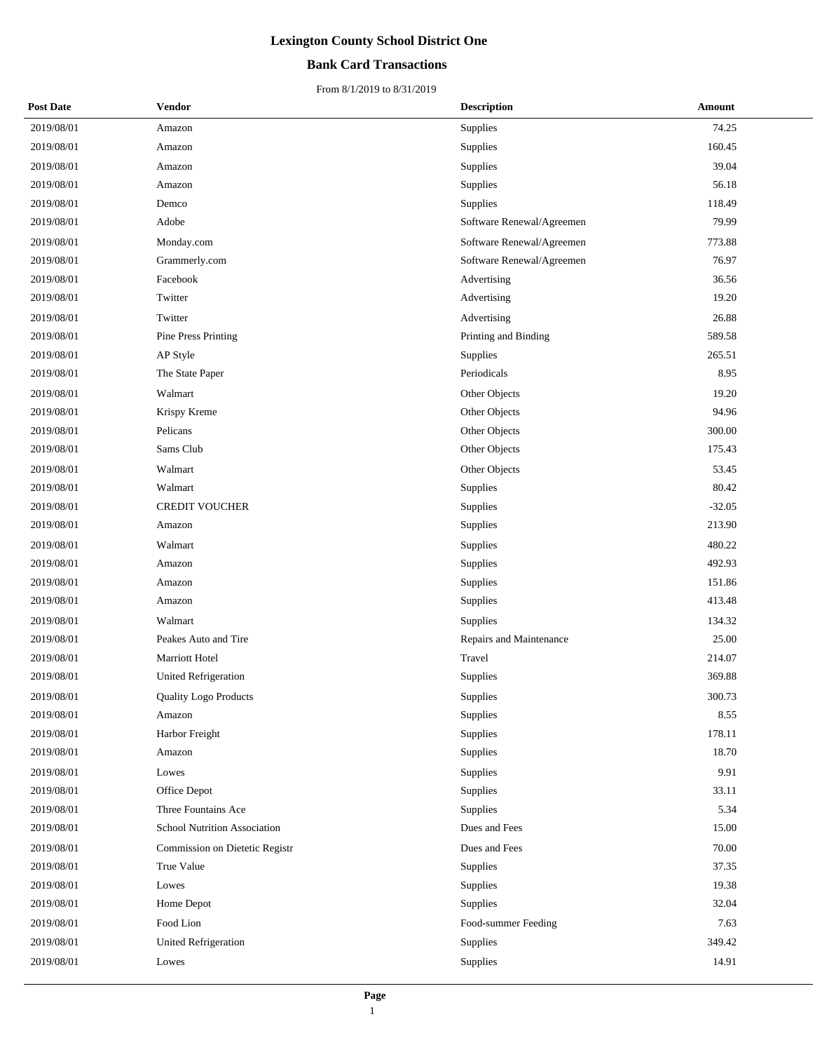### **Bank Card Transactions**

| <b>Post Date</b> | Vendor                              | <b>Description</b>        | Amount   |
|------------------|-------------------------------------|---------------------------|----------|
| 2019/08/01       | Amazon                              | Supplies                  | 74.25    |
| 2019/08/01       | Amazon                              | Supplies                  | 160.45   |
| 2019/08/01       | Amazon                              | Supplies                  | 39.04    |
| 2019/08/01       | Amazon                              | Supplies                  | 56.18    |
| 2019/08/01       | Demco                               | Supplies                  | 118.49   |
| 2019/08/01       | Adobe                               | Software Renewal/Agreemen | 79.99    |
| 2019/08/01       | Monday.com                          | Software Renewal/Agreemen | 773.88   |
| 2019/08/01       | Grammerly.com                       | Software Renewal/Agreemen | 76.97    |
| 2019/08/01       | Facebook                            | Advertising               | 36.56    |
| 2019/08/01       | Twitter                             | Advertising               | 19.20    |
| 2019/08/01       | Twitter                             | Advertising               | 26.88    |
| 2019/08/01       | Pine Press Printing                 | Printing and Binding      | 589.58   |
| 2019/08/01       | AP Style                            | Supplies                  | 265.51   |
| 2019/08/01       | The State Paper                     | Periodicals               | 8.95     |
| 2019/08/01       | Walmart                             | Other Objects             | 19.20    |
| 2019/08/01       | Krispy Kreme                        | Other Objects             | 94.96    |
| 2019/08/01       | Pelicans                            | Other Objects             | 300.00   |
| 2019/08/01       | Sams Club                           | Other Objects             | 175.43   |
| 2019/08/01       | Walmart                             | Other Objects             | 53.45    |
| 2019/08/01       | Walmart                             | Supplies                  | 80.42    |
| 2019/08/01       | <b>CREDIT VOUCHER</b>               | Supplies                  | $-32.05$ |
| 2019/08/01       | Amazon                              | Supplies                  | 213.90   |
| 2019/08/01       | Walmart                             | Supplies                  | 480.22   |
| 2019/08/01       | Amazon                              | Supplies                  | 492.93   |
| 2019/08/01       | Amazon                              | Supplies                  | 151.86   |
| 2019/08/01       | Amazon                              | Supplies                  | 413.48   |
| 2019/08/01       | Walmart                             | Supplies                  | 134.32   |
| 2019/08/01       | Peakes Auto and Tire                | Repairs and Maintenance   | 25.00    |
| 2019/08/01       | Marriott Hotel                      | Travel                    | 214.07   |
| 2019/08/01       | <b>United Refrigeration</b>         | Supplies                  | 369.88   |
| 2019/08/01       | Quality Logo Products               | Supplies                  | 300.73   |
| 2019/08/01       | Amazon                              | Supplies                  | 8.55     |
| 2019/08/01       | Harbor Freight                      | Supplies                  | 178.11   |
| 2019/08/01       | Amazon                              | Supplies                  | 18.70    |
| 2019/08/01       | Lowes                               | Supplies                  | 9.91     |
| 2019/08/01       | Office Depot                        | Supplies                  | 33.11    |
| 2019/08/01       | Three Fountains Ace                 | Supplies                  | 5.34     |
| 2019/08/01       | <b>School Nutrition Association</b> | Dues and Fees             | 15.00    |
| 2019/08/01       | Commission on Dietetic Registr      | Dues and Fees             | 70.00    |
| 2019/08/01       | True Value                          | Supplies                  | 37.35    |
| 2019/08/01       | Lowes                               | Supplies                  | 19.38    |
| 2019/08/01       | Home Depot                          | Supplies                  | 32.04    |
| 2019/08/01       | Food Lion                           | Food-summer Feeding       | 7.63     |
| 2019/08/01       | United Refrigeration                | Supplies                  | 349.42   |
| 2019/08/01       | Lowes                               | Supplies                  | 14.91    |
|                  |                                     |                           |          |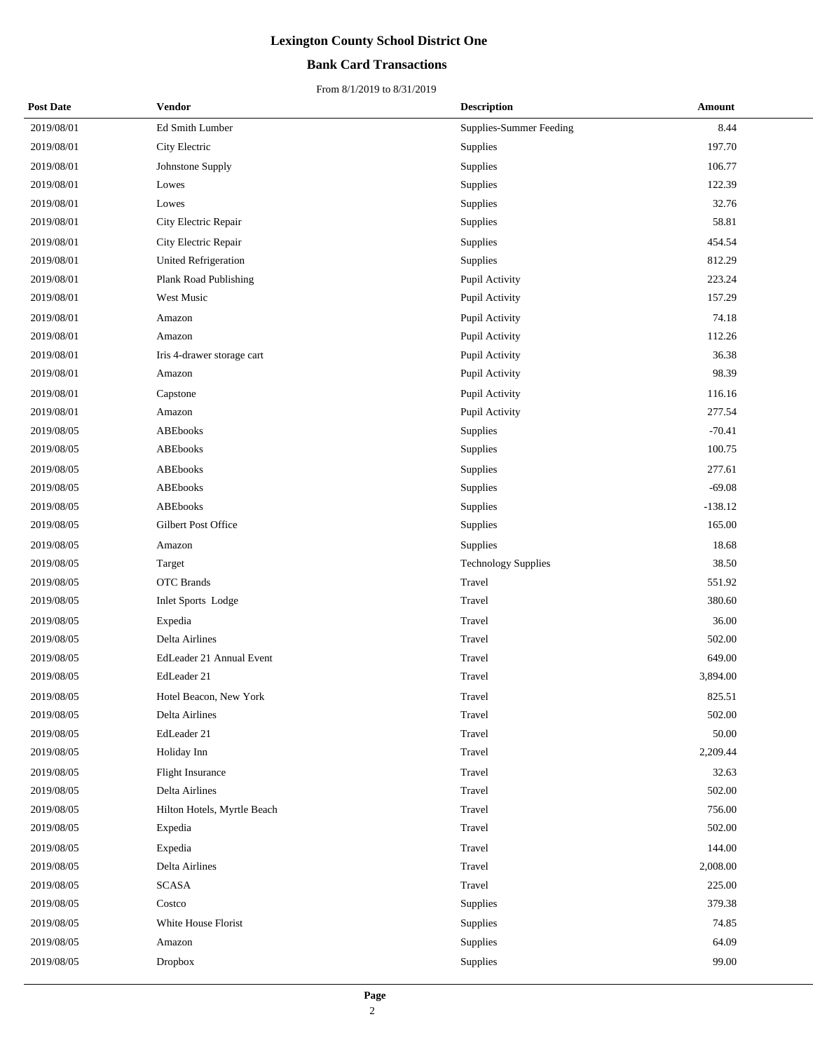### **Bank Card Transactions**

| <b>Post Date</b> | Vendor                      | <b>Description</b>             | Amount    |
|------------------|-----------------------------|--------------------------------|-----------|
| 2019/08/01       | Ed Smith Lumber             | <b>Supplies-Summer Feeding</b> | 8.44      |
| 2019/08/01       | City Electric               | Supplies                       | 197.70    |
| 2019/08/01       | Johnstone Supply            | Supplies                       | 106.77    |
| 2019/08/01       | Lowes                       | Supplies                       | 122.39    |
| 2019/08/01       | Lowes                       | <b>Supplies</b>                | 32.76     |
| 2019/08/01       | City Electric Repair        | Supplies                       | 58.81     |
| 2019/08/01       | City Electric Repair        | <b>Supplies</b>                | 454.54    |
| 2019/08/01       | <b>United Refrigeration</b> | Supplies                       | 812.29    |
| 2019/08/01       | Plank Road Publishing       | Pupil Activity                 | 223.24    |
| 2019/08/01       | West Music                  | Pupil Activity                 | 157.29    |
| 2019/08/01       | Amazon                      | Pupil Activity                 | 74.18     |
| 2019/08/01       | Amazon                      | Pupil Activity                 | 112.26    |
| 2019/08/01       | Iris 4-drawer storage cart  | Pupil Activity                 | 36.38     |
| 2019/08/01       | Amazon                      | Pupil Activity                 | 98.39     |
| 2019/08/01       | Capstone                    | Pupil Activity                 | 116.16    |
| 2019/08/01       | Amazon                      | Pupil Activity                 | 277.54    |
| 2019/08/05       | <b>ABEbooks</b>             | Supplies                       | $-70.41$  |
| 2019/08/05       | <b>ABEbooks</b>             | Supplies                       | 100.75    |
| 2019/08/05       | <b>ABEbooks</b>             | Supplies                       | 277.61    |
| 2019/08/05       | <b>ABEbooks</b>             | Supplies                       | $-69.08$  |
| 2019/08/05       | <b>ABEbooks</b>             | Supplies                       | $-138.12$ |
| 2019/08/05       | Gilbert Post Office         | Supplies                       | 165.00    |
| 2019/08/05       | Amazon                      | Supplies                       | 18.68     |
| 2019/08/05       | Target                      | <b>Technology Supplies</b>     | 38.50     |
| 2019/08/05       | <b>OTC</b> Brands           | Travel                         | 551.92    |
| 2019/08/05       | Inlet Sports Lodge          | Travel                         | 380.60    |
| 2019/08/05       | Expedia                     | Travel                         | 36.00     |
| 2019/08/05       | Delta Airlines              | Travel                         | 502.00    |
| 2019/08/05       | EdLeader 21 Annual Event    | Travel                         | 649.00    |
| 2019/08/05       | EdLeader 21                 | Travel                         | 3,894.00  |
| 2019/08/05       | Hotel Beacon, New York      | Travel                         | 825.51    |
| 2019/08/05       | Delta Airlines              | Travel                         | 502.00    |
| 2019/08/05       | EdLeader 21                 | Travel                         | 50.00     |
| 2019/08/05       | Holiday Inn                 | Travel                         | 2,209.44  |
| 2019/08/05       | <b>Flight Insurance</b>     | Travel                         | 32.63     |
| 2019/08/05       | Delta Airlines              | Travel                         | 502.00    |
| 2019/08/05       | Hilton Hotels, Myrtle Beach | Travel                         | 756.00    |
| 2019/08/05       | Expedia                     | Travel                         | 502.00    |
| 2019/08/05       | Expedia                     | Travel                         | 144.00    |
| 2019/08/05       | Delta Airlines              | Travel                         | 2,008.00  |
| 2019/08/05       | <b>SCASA</b>                | Travel                         | 225.00    |
| 2019/08/05       | Costco                      | Supplies                       | 379.38    |
| 2019/08/05       | White House Florist         | Supplies                       | 74.85     |
| 2019/08/05       | Amazon                      | Supplies                       | 64.09     |
| 2019/08/05       | <b>Dropbox</b>              | Supplies                       | 99.00     |
|                  |                             |                                |           |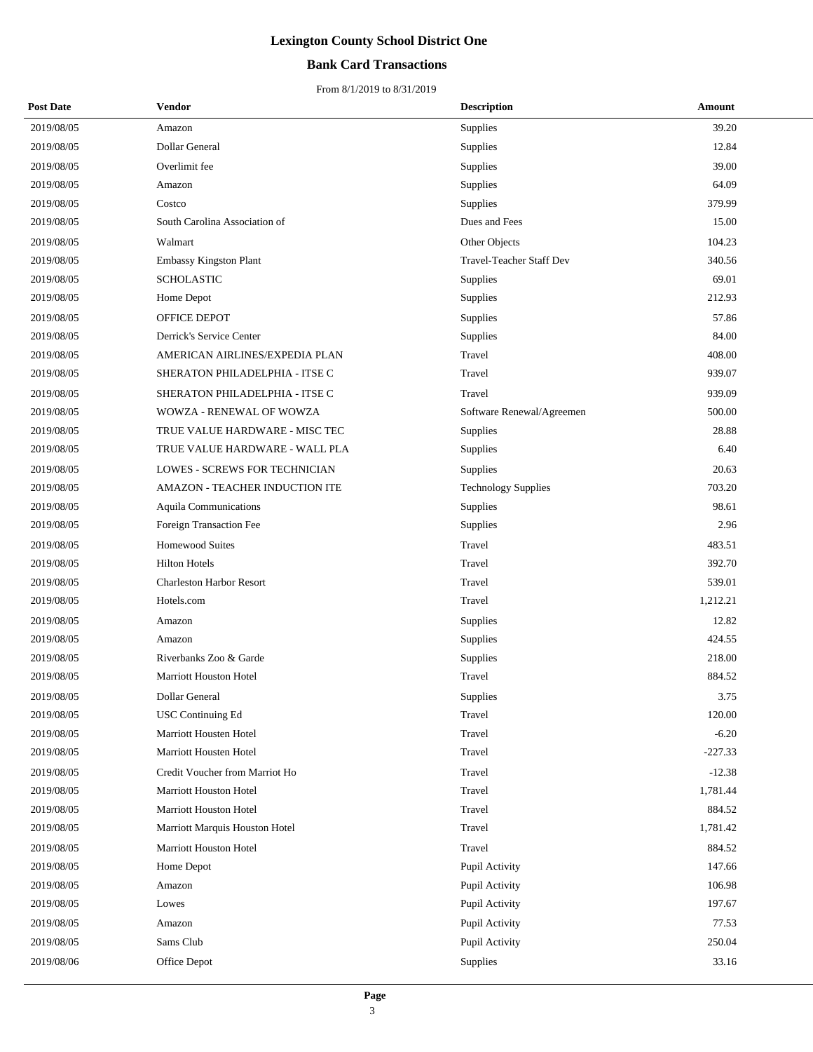### **Bank Card Transactions**

| <b>Post Date</b> | <b>Vendor</b>                   | <b>Description</b>              | Amount    |
|------------------|---------------------------------|---------------------------------|-----------|
| 2019/08/05       | Amazon                          | Supplies                        | 39.20     |
| 2019/08/05       | Dollar General                  | Supplies                        | 12.84     |
| 2019/08/05       | Overlimit fee                   | Supplies                        | 39.00     |
| 2019/08/05       | Amazon                          | Supplies                        | 64.09     |
| 2019/08/05       | Costco                          | Supplies                        | 379.99    |
| 2019/08/05       | South Carolina Association of   | Dues and Fees                   | 15.00     |
| 2019/08/05       | Walmart                         | Other Objects                   | 104.23    |
| 2019/08/05       | Embassy Kingston Plant          | <b>Travel-Teacher Staff Dev</b> | 340.56    |
| 2019/08/05       | <b>SCHOLASTIC</b>               | Supplies                        | 69.01     |
| 2019/08/05       | Home Depot                      | Supplies                        | 212.93    |
| 2019/08/05       | OFFICE DEPOT                    | Supplies                        | 57.86     |
| 2019/08/05       | Derrick's Service Center        | Supplies                        | 84.00     |
| 2019/08/05       | AMERICAN AIRLINES/EXPEDIA PLAN  | Travel                          | 408.00    |
| 2019/08/05       | SHERATON PHILADELPHIA - ITSE C  | Travel                          | 939.07    |
| 2019/08/05       | SHERATON PHILADELPHIA - ITSE C  | Travel                          | 939.09    |
| 2019/08/05       | WOWZA - RENEWAL OF WOWZA        | Software Renewal/Agreemen       | 500.00    |
| 2019/08/05       | TRUE VALUE HARDWARE - MISC TEC  | Supplies                        | 28.88     |
| 2019/08/05       | TRUE VALUE HARDWARE - WALL PLA  | Supplies                        | 6.40      |
| 2019/08/05       | LOWES - SCREWS FOR TECHNICIAN   | Supplies                        | 20.63     |
| 2019/08/05       | AMAZON - TEACHER INDUCTION ITE  | <b>Technology Supplies</b>      | 703.20    |
| 2019/08/05       | Aquila Communications           | Supplies                        | 98.61     |
| 2019/08/05       | Foreign Transaction Fee         | Supplies                        | 2.96      |
| 2019/08/05       | <b>Homewood Suites</b>          | Travel                          | 483.51    |
| 2019/08/05       | <b>Hilton Hotels</b>            | Travel                          | 392.70    |
| 2019/08/05       | <b>Charleston Harbor Resort</b> | Travel                          | 539.01    |
| 2019/08/05       | Hotels.com                      | Travel                          | 1,212.21  |
| 2019/08/05       | Amazon                          | Supplies                        | 12.82     |
| 2019/08/05       | Amazon                          | Supplies                        | 424.55    |
| 2019/08/05       | Riverbanks Zoo & Garde          | Supplies                        | 218.00    |
| 2019/08/05       | <b>Marriott Houston Hotel</b>   | Travel                          | 884.52    |
| 2019/08/05       | Dollar General                  | Supplies                        | 3.75      |
| 2019/08/05       | <b>USC Continuing Ed</b>        | Travel                          | 120.00    |
| 2019/08/05       | Marriott Housten Hotel          | Travel                          | $-6.20$   |
| 2019/08/05       | Marriott Housten Hotel          | Travel                          | $-227.33$ |
| 2019/08/05       | Credit Voucher from Marriot Ho  | Travel                          | $-12.38$  |
| 2019/08/05       | Marriott Houston Hotel          | Travel                          | 1,781.44  |
| 2019/08/05       | Marriott Houston Hotel          | Travel                          | 884.52    |
| 2019/08/05       | Marriott Marquis Houston Hotel  | Travel                          | 1,781.42  |
| 2019/08/05       | Marriott Houston Hotel          | Travel                          | 884.52    |
| 2019/08/05       | Home Depot                      | Pupil Activity                  | 147.66    |
| 2019/08/05       | Amazon                          | Pupil Activity                  | 106.98    |
| 2019/08/05       | Lowes                           | Pupil Activity                  | 197.67    |
| 2019/08/05       | Amazon                          | Pupil Activity                  | 77.53     |
| 2019/08/05       | Sams Club                       | Pupil Activity                  | 250.04    |
| 2019/08/06       | Office Depot                    | Supplies                        | 33.16     |
|                  |                                 |                                 |           |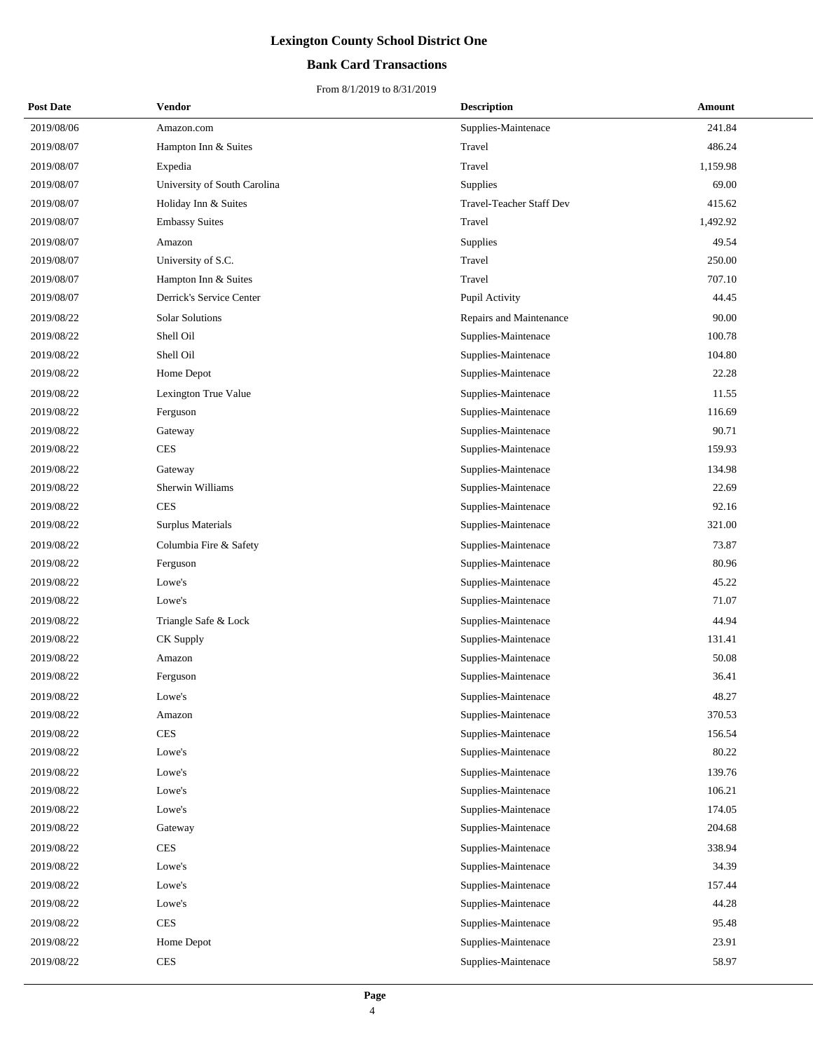### **Bank Card Transactions**

| <b>Post Date</b> | Vendor                       | <b>Description</b>              | Amount   |
|------------------|------------------------------|---------------------------------|----------|
| 2019/08/06       | Amazon.com                   | Supplies-Maintenace             | 241.84   |
| 2019/08/07       | Hampton Inn & Suites         | Travel                          | 486.24   |
| 2019/08/07       | Expedia                      | Travel                          | 1,159.98 |
| 2019/08/07       | University of South Carolina | Supplies                        | 69.00    |
| 2019/08/07       | Holiday Inn & Suites         | <b>Travel-Teacher Staff Dev</b> | 415.62   |
| 2019/08/07       | <b>Embassy Suites</b>        | Travel                          | 1,492.92 |
| 2019/08/07       | Amazon                       | <b>Supplies</b>                 | 49.54    |
| 2019/08/07       | University of S.C.           | Travel                          | 250.00   |
| 2019/08/07       | Hampton Inn & Suites         | Travel                          | 707.10   |
| 2019/08/07       | Derrick's Service Center     | Pupil Activity                  | 44.45    |
| 2019/08/22       | Solar Solutions              | Repairs and Maintenance         | 90.00    |
| 2019/08/22       | Shell Oil                    | Supplies-Maintenace             | 100.78   |
| 2019/08/22       | Shell Oil                    | Supplies-Maintenace             | 104.80   |
| 2019/08/22       | Home Depot                   | Supplies-Maintenace             | 22.28    |
| 2019/08/22       | Lexington True Value         | Supplies-Maintenace             | 11.55    |
| 2019/08/22       | Ferguson                     | Supplies-Maintenace             | 116.69   |
| 2019/08/22       | Gateway                      | Supplies-Maintenace             | 90.71    |
| 2019/08/22       | <b>CES</b>                   | Supplies-Maintenace             | 159.93   |
| 2019/08/22       | Gateway                      | Supplies-Maintenace             | 134.98   |
| 2019/08/22       | Sherwin Williams             | Supplies-Maintenace             | 22.69    |
| 2019/08/22       | <b>CES</b>                   | Supplies-Maintenace             | 92.16    |
| 2019/08/22       | Surplus Materials            | Supplies-Maintenace             | 321.00   |
| 2019/08/22       | Columbia Fire & Safety       | Supplies-Maintenace             | 73.87    |
| 2019/08/22       | Ferguson                     | Supplies-Maintenace             | 80.96    |
| 2019/08/22       | Lowe's                       | Supplies-Maintenace             | 45.22    |
| 2019/08/22       | Lowe's                       | Supplies-Maintenace             | 71.07    |
| 2019/08/22       | Triangle Safe & Lock         | Supplies-Maintenace             | 44.94    |
| 2019/08/22       | CK Supply                    | Supplies-Maintenace             | 131.41   |
| 2019/08/22       | Amazon                       | Supplies-Maintenace             | 50.08    |
| 2019/08/22       | Ferguson                     | Supplies-Maintenace             | 36.41    |
| 2019/08/22       | Lowe's                       | Supplies-Maintenace             | 48.27    |
| 2019/08/22       | Amazon                       | Supplies-Maintenace             | 370.53   |
| 2019/08/22       | <b>CES</b>                   | Supplies-Maintenace             | 156.54   |
| 2019/08/22       | Lowe's                       | Supplies-Maintenace             | 80.22    |
| 2019/08/22       | Lowe's                       | Supplies-Maintenace             | 139.76   |
| 2019/08/22       | Lowe's                       | Supplies-Maintenace             | 106.21   |
| 2019/08/22       | Lowe's                       | Supplies-Maintenace             | 174.05   |
| 2019/08/22       | Gateway                      | Supplies-Maintenace             | 204.68   |
| 2019/08/22       | <b>CES</b>                   | Supplies-Maintenace             | 338.94   |
| 2019/08/22       | Lowe's                       | Supplies-Maintenace             | 34.39    |
| 2019/08/22       | Lowe's                       | Supplies-Maintenace             | 157.44   |
| 2019/08/22       | Lowe's                       | Supplies-Maintenace             | 44.28    |
| 2019/08/22       | <b>CES</b>                   | Supplies-Maintenace             | 95.48    |
| 2019/08/22       | Home Depot                   | Supplies-Maintenace             | 23.91    |
| 2019/08/22       | <b>CES</b>                   | Supplies-Maintenace             | 58.97    |
|                  |                              |                                 |          |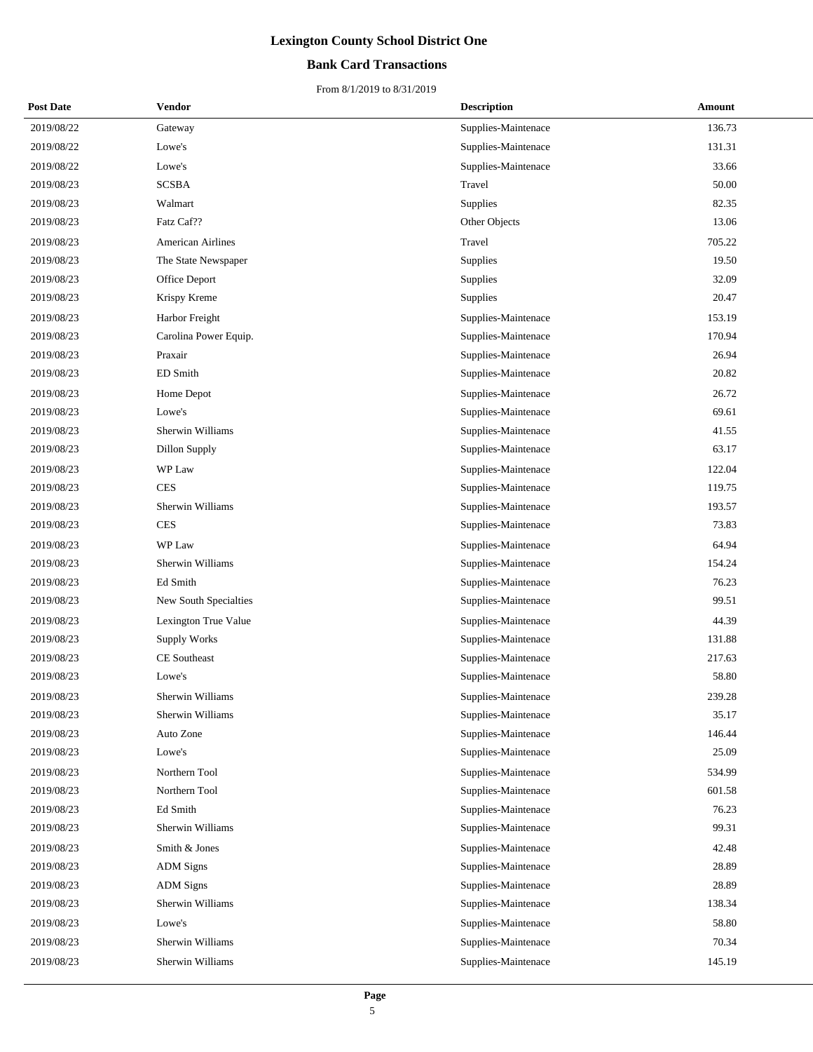### **Bank Card Transactions**

| <b>Post Date</b> | Vendor                | <b>Description</b>  | Amount |
|------------------|-----------------------|---------------------|--------|
| 2019/08/22       | Gateway               | Supplies-Maintenace | 136.73 |
| 2019/08/22       | Lowe's                | Supplies-Maintenace | 131.31 |
| 2019/08/22       | Lowe's                | Supplies-Maintenace | 33.66  |
| 2019/08/23       | <b>SCSBA</b>          | Travel              | 50.00  |
| 2019/08/23       | Walmart               | Supplies            | 82.35  |
| 2019/08/23       | Fatz Caf??            | Other Objects       | 13.06  |
| 2019/08/23       | American Airlines     | Travel              | 705.22 |
| 2019/08/23       | The State Newspaper   | Supplies            | 19.50  |
| 2019/08/23       | Office Deport         | Supplies            | 32.09  |
| 2019/08/23       | Krispy Kreme          | Supplies            | 20.47  |
| 2019/08/23       | Harbor Freight        | Supplies-Maintenace | 153.19 |
| 2019/08/23       | Carolina Power Equip. | Supplies-Maintenace | 170.94 |
| 2019/08/23       | Praxair               | Supplies-Maintenace | 26.94  |
| 2019/08/23       | ED Smith              | Supplies-Maintenace | 20.82  |
| 2019/08/23       | Home Depot            | Supplies-Maintenace | 26.72  |
| 2019/08/23       | Lowe's                | Supplies-Maintenace | 69.61  |
| 2019/08/23       | Sherwin Williams      | Supplies-Maintenace | 41.55  |
| 2019/08/23       | Dillon Supply         | Supplies-Maintenace | 63.17  |
| 2019/08/23       | WP Law                | Supplies-Maintenace | 122.04 |
| 2019/08/23       | <b>CES</b>            | Supplies-Maintenace | 119.75 |
| 2019/08/23       | Sherwin Williams      | Supplies-Maintenace | 193.57 |
| 2019/08/23       | <b>CES</b>            | Supplies-Maintenace | 73.83  |
| 2019/08/23       | WP Law                | Supplies-Maintenace | 64.94  |
| 2019/08/23       | Sherwin Williams      | Supplies-Maintenace | 154.24 |
| 2019/08/23       | Ed Smith              | Supplies-Maintenace | 76.23  |
| 2019/08/23       | New South Specialties | Supplies-Maintenace | 99.51  |
| 2019/08/23       | Lexington True Value  | Supplies-Maintenace | 44.39  |
| 2019/08/23       | <b>Supply Works</b>   | Supplies-Maintenace | 131.88 |
| 2019/08/23       | <b>CE</b> Southeast   | Supplies-Maintenace | 217.63 |
| 2019/08/23       | Lowe's                | Supplies-Maintenace | 58.80  |
| 2019/08/23       | Sherwin Williams      | Supplies-Maintenace | 239.28 |
| 2019/08/23       | Sherwin Williams      | Supplies-Maintenace | 35.17  |
| 2019/08/23       | Auto Zone             | Supplies-Maintenace | 146.44 |
| 2019/08/23       | Lowe's                | Supplies-Maintenace | 25.09  |
| 2019/08/23       | Northern Tool         | Supplies-Maintenace | 534.99 |
| 2019/08/23       | Northern Tool         | Supplies-Maintenace | 601.58 |
| 2019/08/23       | Ed Smith              | Supplies-Maintenace | 76.23  |
| 2019/08/23       | Sherwin Williams      | Supplies-Maintenace | 99.31  |
| 2019/08/23       | Smith & Jones         | Supplies-Maintenace | 42.48  |
| 2019/08/23       | <b>ADM</b> Signs      | Supplies-Maintenace | 28.89  |
| 2019/08/23       | <b>ADM</b> Signs      | Supplies-Maintenace | 28.89  |
| 2019/08/23       | Sherwin Williams      | Supplies-Maintenace | 138.34 |
| 2019/08/23       | Lowe's                | Supplies-Maintenace | 58.80  |
| 2019/08/23       | Sherwin Williams      | Supplies-Maintenace | 70.34  |
| 2019/08/23       | Sherwin Williams      | Supplies-Maintenace | 145.19 |
|                  |                       |                     |        |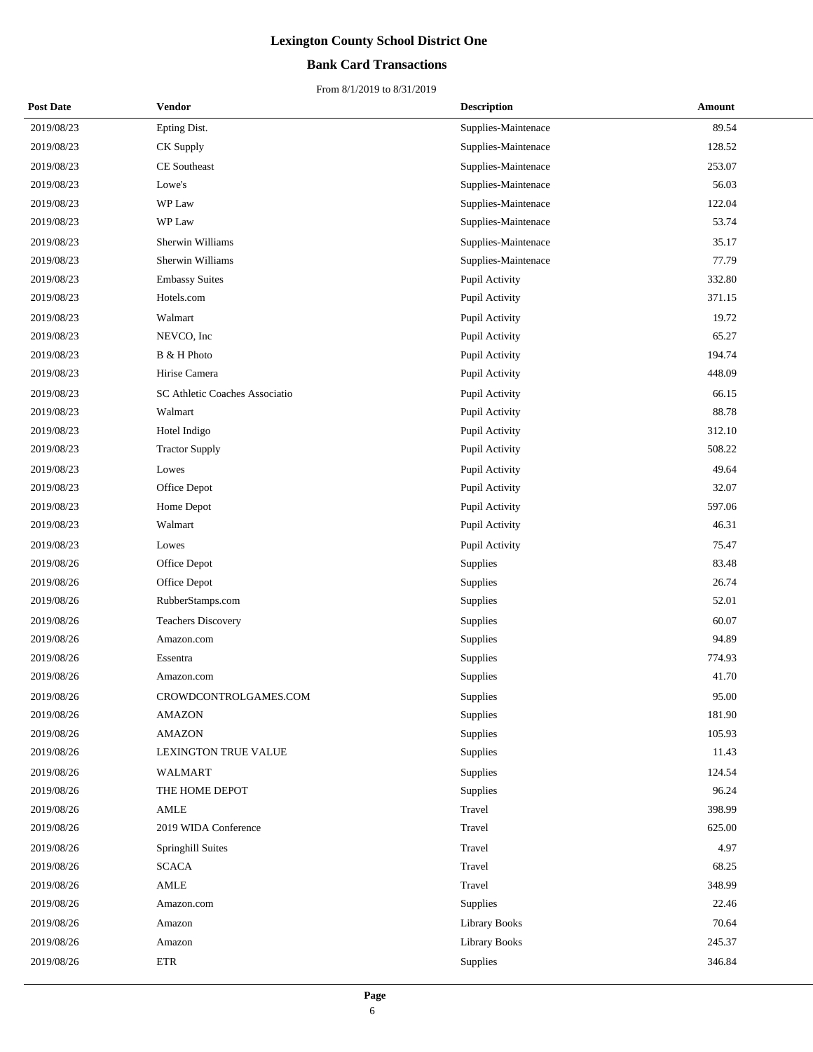### **Bank Card Transactions**

| <b>Post Date</b> | Vendor                         | <b>Description</b>   | Amount |
|------------------|--------------------------------|----------------------|--------|
| 2019/08/23       | Epting Dist.                   | Supplies-Maintenace  | 89.54  |
| 2019/08/23       | CK Supply                      | Supplies-Maintenace  | 128.52 |
| 2019/08/23       | CE Southeast                   | Supplies-Maintenace  | 253.07 |
| 2019/08/23       | Lowe's                         | Supplies-Maintenace  | 56.03  |
| 2019/08/23       | WP Law                         | Supplies-Maintenace  | 122.04 |
| 2019/08/23       | WP Law                         | Supplies-Maintenace  | 53.74  |
| 2019/08/23       | Sherwin Williams               | Supplies-Maintenace  | 35.17  |
| 2019/08/23       | Sherwin Williams               | Supplies-Maintenace  | 77.79  |
| 2019/08/23       | <b>Embassy Suites</b>          | Pupil Activity       | 332.80 |
| 2019/08/23       | Hotels.com                     | Pupil Activity       | 371.15 |
| 2019/08/23       | Walmart                        | Pupil Activity       | 19.72  |
| 2019/08/23       | NEVCO, Inc                     | Pupil Activity       | 65.27  |
| 2019/08/23       | B & H Photo                    | Pupil Activity       | 194.74 |
| 2019/08/23       | Hirise Camera                  | Pupil Activity       | 448.09 |
| 2019/08/23       | SC Athletic Coaches Associatio | Pupil Activity       | 66.15  |
| 2019/08/23       | Walmart                        | Pupil Activity       | 88.78  |
| 2019/08/23       | Hotel Indigo                   | Pupil Activity       | 312.10 |
| 2019/08/23       | <b>Tractor Supply</b>          | Pupil Activity       | 508.22 |
| 2019/08/23       | Lowes                          | Pupil Activity       | 49.64  |
| 2019/08/23       | Office Depot                   | Pupil Activity       | 32.07  |
| 2019/08/23       | Home Depot                     | Pupil Activity       | 597.06 |
| 2019/08/23       | Walmart                        | Pupil Activity       | 46.31  |
| 2019/08/23       | Lowes                          | Pupil Activity       | 75.47  |
| 2019/08/26       | Office Depot                   | Supplies             | 83.48  |
| 2019/08/26       | Office Depot                   | Supplies             | 26.74  |
| 2019/08/26       | RubberStamps.com               | Supplies             | 52.01  |
| 2019/08/26       | <b>Teachers Discovery</b>      | Supplies             | 60.07  |
| 2019/08/26       | Amazon.com                     | Supplies             | 94.89  |
| 2019/08/26       | Essentra                       | Supplies             | 774.93 |
| 2019/08/26       | Amazon.com                     | Supplies             | 41.70  |
| 2019/08/26       | CROWDCONTROLGAMES.COM          | Supplies             | 95.00  |
| 2019/08/26       | <b>AMAZON</b>                  | Supplies             | 181.90 |
| 2019/08/26       | <b>AMAZON</b>                  | Supplies             | 105.93 |
| 2019/08/26       | LEXINGTON TRUE VALUE           | Supplies             | 11.43  |
| 2019/08/26       | WALMART                        | Supplies             | 124.54 |
| 2019/08/26       | THE HOME DEPOT                 | Supplies             | 96.24  |
| 2019/08/26       | AMLE                           | Travel               | 398.99 |
| 2019/08/26       | 2019 WIDA Conference           | Travel               | 625.00 |
| 2019/08/26       | Springhill Suites              | Travel               | 4.97   |
| 2019/08/26       | <b>SCACA</b>                   | Travel               | 68.25  |
| 2019/08/26       | $\operatorname{AMLE}$          | Travel               | 348.99 |
| 2019/08/26       | Amazon.com                     | Supplies             | 22.46  |
| 2019/08/26       | Amazon                         | <b>Library Books</b> | 70.64  |
| 2019/08/26       | Amazon                         | Library Books        | 245.37 |
| 2019/08/26       | <b>ETR</b>                     | Supplies             | 346.84 |
|                  |                                |                      |        |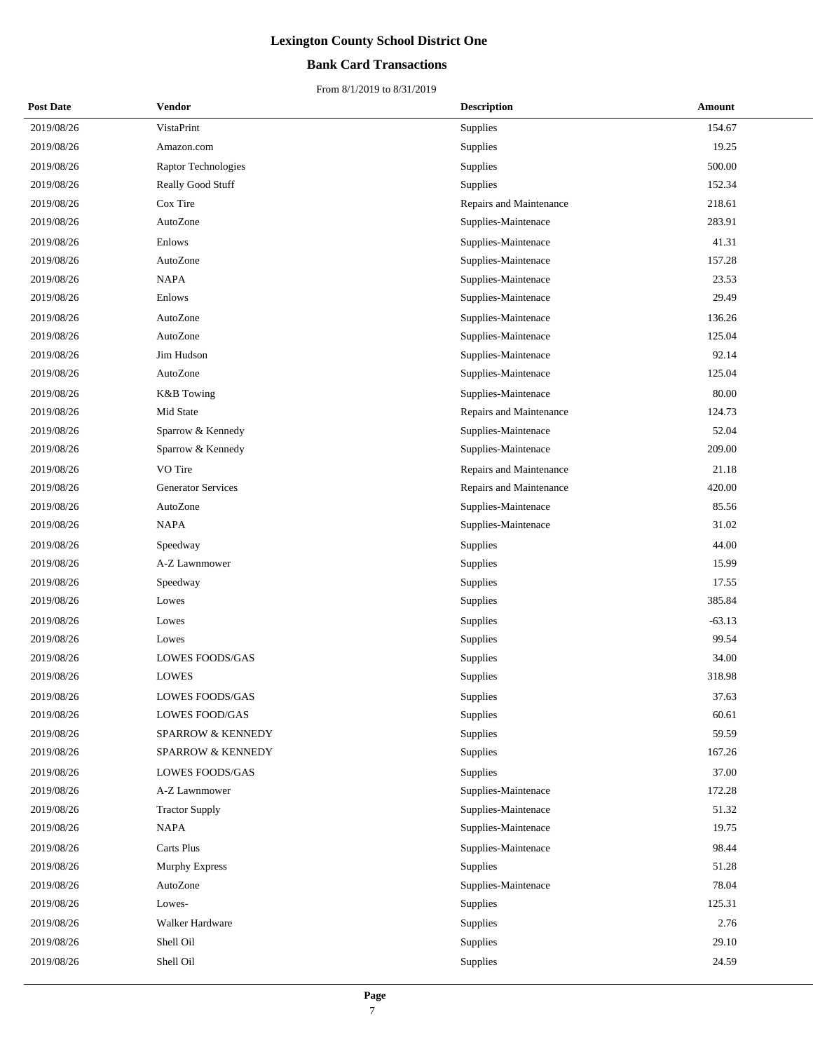### **Bank Card Transactions**

| <b>Post Date</b> | Vendor                    | <b>Description</b>      | Amount   |
|------------------|---------------------------|-------------------------|----------|
| 2019/08/26       | VistaPrint                | <b>Supplies</b>         | 154.67   |
| 2019/08/26       | Amazon.com                | Supplies                | 19.25    |
| 2019/08/26       | Raptor Technologies       | Supplies                | 500.00   |
| 2019/08/26       | Really Good Stuff         | Supplies                | 152.34   |
| 2019/08/26       | Cox Tire                  | Repairs and Maintenance | 218.61   |
| 2019/08/26       | AutoZone                  | Supplies-Maintenace     | 283.91   |
| 2019/08/26       | Enlows                    | Supplies-Maintenace     | 41.31    |
| 2019/08/26       | AutoZone                  | Supplies-Maintenace     | 157.28   |
| 2019/08/26       | <b>NAPA</b>               | Supplies-Maintenace     | 23.53    |
| 2019/08/26       | Enlows                    | Supplies-Maintenace     | 29.49    |
| 2019/08/26       | AutoZone                  | Supplies-Maintenace     | 136.26   |
| 2019/08/26       | AutoZone                  | Supplies-Maintenace     | 125.04   |
| 2019/08/26       | Jim Hudson                | Supplies-Maintenace     | 92.14    |
| 2019/08/26       | AutoZone                  | Supplies-Maintenace     | 125.04   |
| 2019/08/26       | <b>K&amp;B</b> Towing     | Supplies-Maintenace     | 80.00    |
| 2019/08/26       | Mid State                 | Repairs and Maintenance | 124.73   |
| 2019/08/26       | Sparrow & Kennedy         | Supplies-Maintenace     | 52.04    |
| 2019/08/26       | Sparrow & Kennedy         | Supplies-Maintenace     | 209.00   |
| 2019/08/26       | VO Tire                   | Repairs and Maintenance | 21.18    |
| 2019/08/26       | <b>Generator Services</b> | Repairs and Maintenance | 420.00   |
| 2019/08/26       | AutoZone                  | Supplies-Maintenace     | 85.56    |
| 2019/08/26       | <b>NAPA</b>               | Supplies-Maintenace     | 31.02    |
| 2019/08/26       | Speedway                  | Supplies                | 44.00    |
| 2019/08/26       | A-Z Lawnmower             | Supplies                | 15.99    |
| 2019/08/26       | Speedway                  | Supplies                | 17.55    |
| 2019/08/26       | Lowes                     | Supplies                | 385.84   |
| 2019/08/26       | Lowes                     | Supplies                | $-63.13$ |
| 2019/08/26       | Lowes                     | Supplies                | 99.54    |
| 2019/08/26       | LOWES FOODS/GAS           | Supplies                | 34.00    |
| 2019/08/26       | <b>LOWES</b>              | Supplies                | 318.98   |
| 2019/08/26       | <b>LOWES FOODS/GAS</b>    | Supplies                | 37.63    |
| 2019/08/26       | <b>LOWES FOOD/GAS</b>     | Supplies                | 60.61    |
| 2019/08/26       | SPARROW & KENNEDY         | Supplies                | 59.59    |
| 2019/08/26       | SPARROW & KENNEDY         | Supplies                | 167.26   |
| 2019/08/26       | <b>LOWES FOODS/GAS</b>    | Supplies                | 37.00    |
| 2019/08/26       | A-Z Lawnmower             | Supplies-Maintenace     | 172.28   |
| 2019/08/26       | <b>Tractor Supply</b>     | Supplies-Maintenace     | 51.32    |
| 2019/08/26       | <b>NAPA</b>               | Supplies-Maintenace     | 19.75    |
| 2019/08/26       | Carts Plus                | Supplies-Maintenace     | 98.44    |
| 2019/08/26       | Murphy Express            | Supplies                | 51.28    |
| 2019/08/26       | AutoZone                  | Supplies-Maintenace     | 78.04    |
| 2019/08/26       | Lowes-                    | Supplies                | 125.31   |
| 2019/08/26       | Walker Hardware           | Supplies                | 2.76     |
| 2019/08/26       | Shell Oil                 | Supplies                | 29.10    |
| 2019/08/26       | Shell Oil                 | Supplies                | 24.59    |
|                  |                           |                         |          |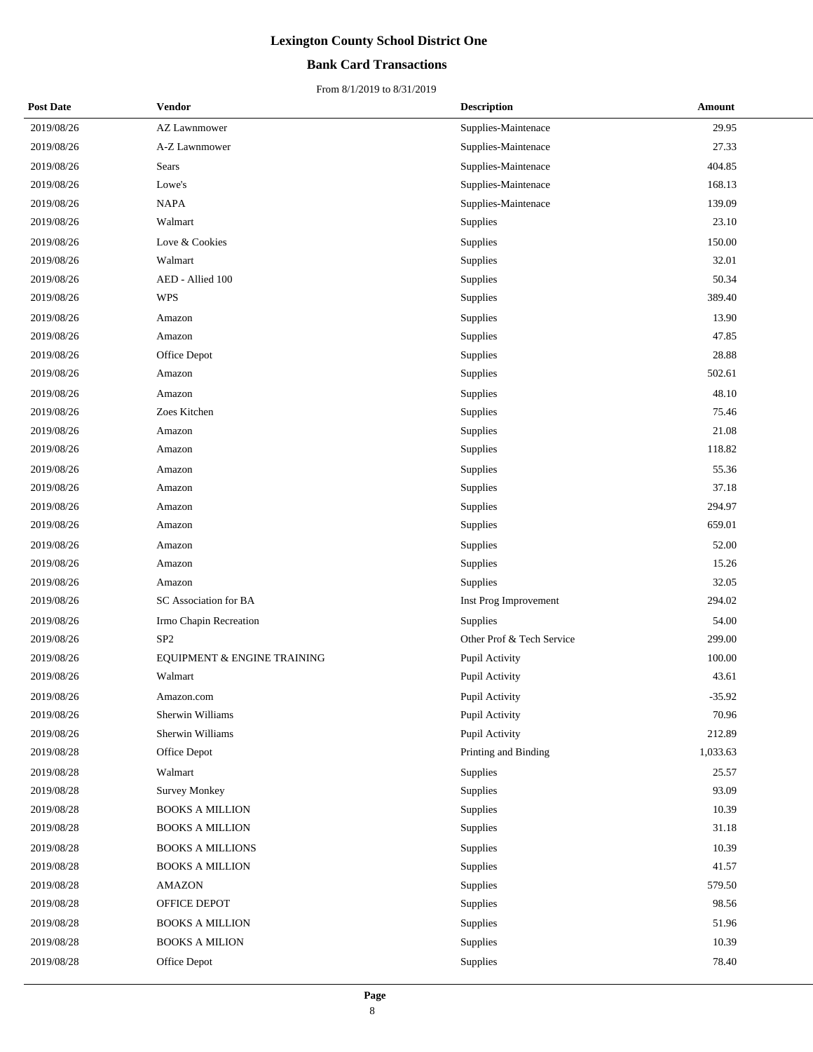### **Bank Card Transactions**

| <b>Post Date</b> | Vendor                      | <b>Description</b>        | Amount   |
|------------------|-----------------------------|---------------------------|----------|
| 2019/08/26       | AZ Lawnmower                | Supplies-Maintenace       | 29.95    |
| 2019/08/26       | A-Z Lawnmower               | Supplies-Maintenace       | 27.33    |
| 2019/08/26       | Sears                       | Supplies-Maintenace       | 404.85   |
| 2019/08/26       | Lowe's                      | Supplies-Maintenace       | 168.13   |
| 2019/08/26       | <b>NAPA</b>                 | Supplies-Maintenace       | 139.09   |
| 2019/08/26       | Walmart                     | Supplies                  | 23.10    |
| 2019/08/26       | Love & Cookies              | Supplies                  | 150.00   |
| 2019/08/26       | Walmart                     | Supplies                  | 32.01    |
| 2019/08/26       | AED - Allied 100            | Supplies                  | 50.34    |
| 2019/08/26       | <b>WPS</b>                  | Supplies                  | 389.40   |
| 2019/08/26       | Amazon                      | Supplies                  | 13.90    |
| 2019/08/26       | Amazon                      | Supplies                  | 47.85    |
| 2019/08/26       | Office Depot                | Supplies                  | 28.88    |
| 2019/08/26       | Amazon                      | Supplies                  | 502.61   |
| 2019/08/26       | Amazon                      | Supplies                  | 48.10    |
| 2019/08/26       | Zoes Kitchen                | Supplies                  | 75.46    |
| 2019/08/26       | Amazon                      | Supplies                  | 21.08    |
| 2019/08/26       | Amazon                      | Supplies                  | 118.82   |
| 2019/08/26       | Amazon                      | Supplies                  | 55.36    |
| 2019/08/26       | Amazon                      | Supplies                  | 37.18    |
| 2019/08/26       | Amazon                      | Supplies                  | 294.97   |
| 2019/08/26       | Amazon                      | Supplies                  | 659.01   |
| 2019/08/26       | Amazon                      | Supplies                  | 52.00    |
| 2019/08/26       | Amazon                      | Supplies                  | 15.26    |
| 2019/08/26       | Amazon                      | Supplies                  | 32.05    |
| 2019/08/26       | SC Association for BA       | Inst Prog Improvement     | 294.02   |
| 2019/08/26       | Irmo Chapin Recreation      | Supplies                  | 54.00    |
| 2019/08/26       | SP <sub>2</sub>             | Other Prof & Tech Service | 299.00   |
| 2019/08/26       | EQUIPMENT & ENGINE TRAINING | Pupil Activity            | 100.00   |
| 2019/08/26       | Walmart                     | Pupil Activity            | 43.61    |
| 2019/08/26       | Amazon.com                  | Pupil Activity            | $-35.92$ |
| 2019/08/26       | Sherwin Williams            | Pupil Activity            | 70.96    |
| 2019/08/26       | Sherwin Williams            | Pupil Activity            | 212.89   |
| 2019/08/28       | Office Depot                | Printing and Binding      | 1,033.63 |
| 2019/08/28       | Walmart                     | Supplies                  | 25.57    |
| 2019/08/28       | <b>Survey Monkey</b>        | Supplies                  | 93.09    |
| 2019/08/28       | <b>BOOKS A MILLION</b>      | Supplies                  | 10.39    |
| 2019/08/28       | <b>BOOKS A MILLION</b>      | Supplies                  | 31.18    |
| 2019/08/28       | <b>BOOKS A MILLIONS</b>     | Supplies                  | 10.39    |
| 2019/08/28       | <b>BOOKS A MILLION</b>      | Supplies                  | 41.57    |
| 2019/08/28       | <b>AMAZON</b>               | Supplies                  | 579.50   |
| 2019/08/28       | OFFICE DEPOT                | Supplies                  | 98.56    |
| 2019/08/28       | <b>BOOKS A MILLION</b>      | Supplies                  | 51.96    |
| 2019/08/28       | <b>BOOKS A MILION</b>       | Supplies                  | 10.39    |
| 2019/08/28       | Office Depot                | Supplies                  | 78.40    |
|                  |                             |                           |          |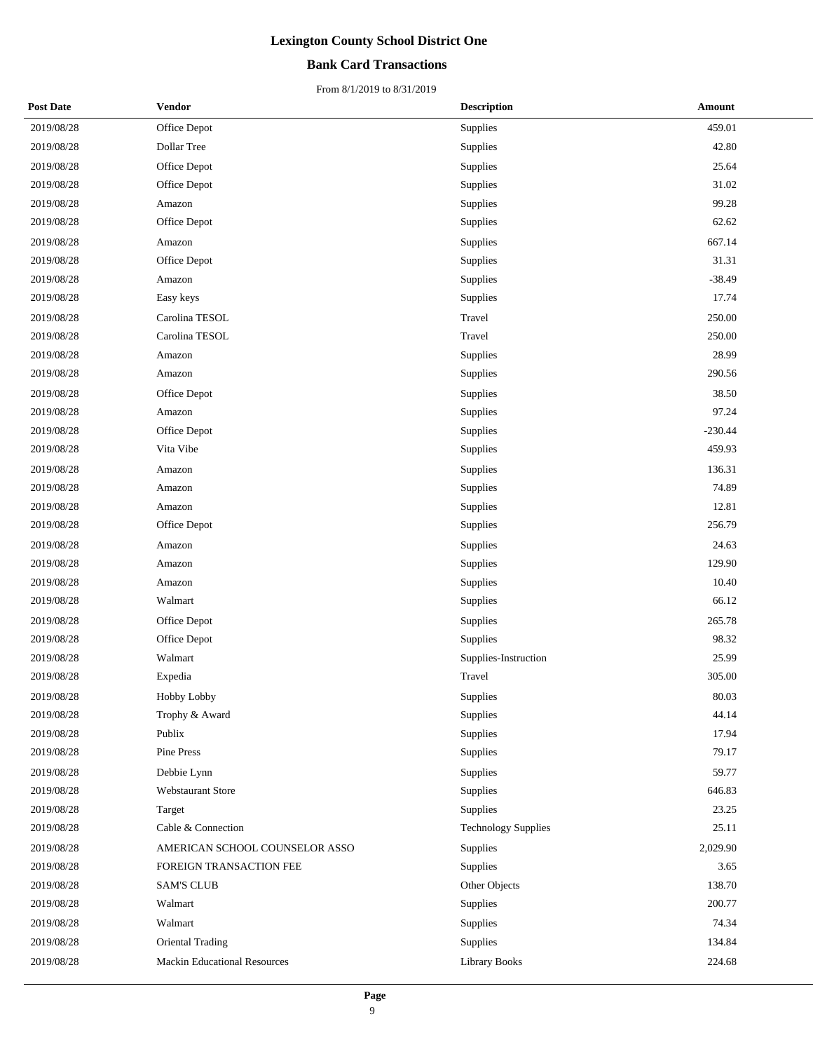### **Bank Card Transactions**

| <b>Post Date</b> | Vendor                              | <b>Description</b>         | <b>Amount</b> |
|------------------|-------------------------------------|----------------------------|---------------|
| 2019/08/28       | Office Depot                        | Supplies                   | 459.01        |
| 2019/08/28       | Dollar Tree                         | Supplies                   | 42.80         |
| 2019/08/28       | Office Depot                        | Supplies                   | 25.64         |
| 2019/08/28       | Office Depot                        | Supplies                   | 31.02         |
| 2019/08/28       | Amazon                              | Supplies                   | 99.28         |
| 2019/08/28       | Office Depot                        | Supplies                   | 62.62         |
| 2019/08/28       | Amazon                              | Supplies                   | 667.14        |
| 2019/08/28       | Office Depot                        | Supplies                   | 31.31         |
| 2019/08/28       | Amazon                              | Supplies                   | $-38.49$      |
| 2019/08/28       | Easy keys                           | Supplies                   | 17.74         |
| 2019/08/28       | Carolina TESOL                      | Travel                     | 250.00        |
| 2019/08/28       | Carolina TESOL                      | Travel                     | 250.00        |
| 2019/08/28       | Amazon                              | Supplies                   | 28.99         |
| 2019/08/28       | Amazon                              | Supplies                   | 290.56        |
| 2019/08/28       | Office Depot                        | Supplies                   | 38.50         |
| 2019/08/28       | Amazon                              | Supplies                   | 97.24         |
| 2019/08/28       | Office Depot                        | Supplies                   | $-230.44$     |
| 2019/08/28       | Vita Vibe                           | Supplies                   | 459.93        |
| 2019/08/28       | Amazon                              | Supplies                   | 136.31        |
| 2019/08/28       | Amazon                              | Supplies                   | 74.89         |
| 2019/08/28       | Amazon                              | Supplies                   | 12.81         |
| 2019/08/28       | Office Depot                        | Supplies                   | 256.79        |
| 2019/08/28       | Amazon                              | Supplies                   | 24.63         |
| 2019/08/28       | Amazon                              | Supplies                   | 129.90        |
| 2019/08/28       | Amazon                              | Supplies                   | 10.40         |
| 2019/08/28       | Walmart                             | Supplies                   | 66.12         |
| 2019/08/28       | Office Depot                        | Supplies                   | 265.78        |
| 2019/08/28       | Office Depot                        | Supplies                   | 98.32         |
| 2019/08/28       | Walmart                             | Supplies-Instruction       | 25.99         |
| 2019/08/28       | Expedia                             | Travel                     | 305.00        |
| 2019/08/28       | Hobby Lobby                         | Supplies                   | 80.03         |
| 2019/08/28       | Trophy & Award                      | Supplies                   | 44.14         |
| 2019/08/28       | Publix                              | Supplies                   | 17.94         |
| 2019/08/28       | Pine Press                          | Supplies                   | 79.17         |
| 2019/08/28       | Debbie Lynn                         | Supplies                   | 59.77         |
| 2019/08/28       | Webstaurant Store                   | Supplies                   | 646.83        |
| 2019/08/28       | Target                              | Supplies                   | 23.25         |
| 2019/08/28       | Cable & Connection                  | <b>Technology Supplies</b> | 25.11         |
| 2019/08/28       | AMERICAN SCHOOL COUNSELOR ASSO      | Supplies                   | 2,029.90      |
| 2019/08/28       | FOREIGN TRANSACTION FEE             | Supplies                   | 3.65          |
| 2019/08/28       | <b>SAM'S CLUB</b>                   | Other Objects              | 138.70        |
| 2019/08/28       | Walmart                             | Supplies                   | 200.77        |
| 2019/08/28       | Walmart                             | Supplies                   | 74.34         |
| 2019/08/28       | Oriental Trading                    | Supplies                   | 134.84        |
| 2019/08/28       | <b>Mackin Educational Resources</b> | <b>Library Books</b>       | 224.68        |
|                  |                                     |                            |               |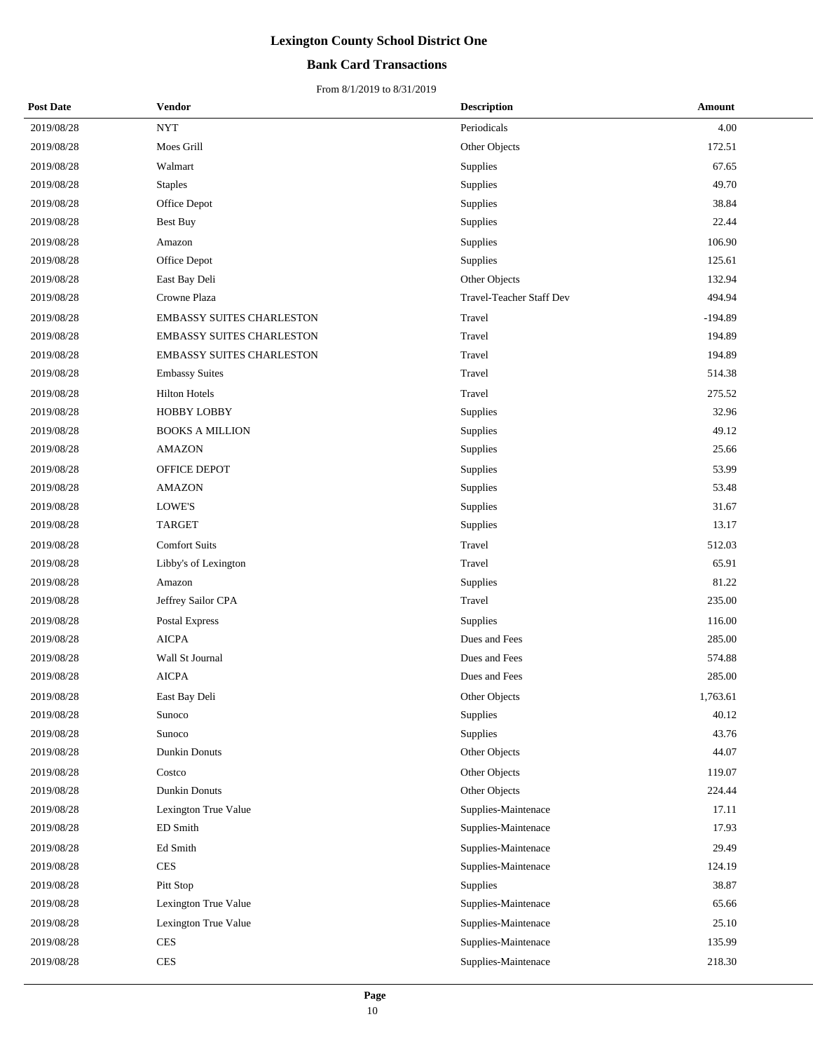### **Bank Card Transactions**

| <b>Post Date</b> | Vendor                           | <b>Description</b>       | Amount    |
|------------------|----------------------------------|--------------------------|-----------|
| 2019/08/28       | <b>NYT</b>                       | Periodicals              | 4.00      |
| 2019/08/28       | Moes Grill                       | Other Objects            | 172.51    |
| 2019/08/28       | Walmart                          | Supplies                 | 67.65     |
| 2019/08/28       | <b>Staples</b>                   | Supplies                 | 49.70     |
| 2019/08/28       | Office Depot                     | Supplies                 | 38.84     |
| 2019/08/28       | <b>Best Buy</b>                  | Supplies                 | 22.44     |
| 2019/08/28       | Amazon                           | Supplies                 | 106.90    |
| 2019/08/28       | Office Depot                     | Supplies                 | 125.61    |
| 2019/08/28       | East Bay Deli                    | Other Objects            | 132.94    |
| 2019/08/28       | Crowne Plaza                     | Travel-Teacher Staff Dev | 494.94    |
| 2019/08/28       | <b>EMBASSY SUITES CHARLESTON</b> | Travel                   | $-194.89$ |
| 2019/08/28       | <b>EMBASSY SUITES CHARLESTON</b> | Travel                   | 194.89    |
| 2019/08/28       | EMBASSY SUITES CHARLESTON        | Travel                   | 194.89    |
| 2019/08/28       | <b>Embassy Suites</b>            | Travel                   | 514.38    |
| 2019/08/28       | <b>Hilton Hotels</b>             | Travel                   | 275.52    |
| 2019/08/28       | <b>HOBBY LOBBY</b>               | Supplies                 | 32.96     |
| 2019/08/28       | <b>BOOKS A MILLION</b>           | Supplies                 | 49.12     |
| 2019/08/28       | <b>AMAZON</b>                    | Supplies                 | 25.66     |
| 2019/08/28       | OFFICE DEPOT                     | Supplies                 | 53.99     |
| 2019/08/28       | <b>AMAZON</b>                    | Supplies                 | 53.48     |
| 2019/08/28       | LOWE'S                           | Supplies                 | 31.67     |
| 2019/08/28       | <b>TARGET</b>                    | Supplies                 | 13.17     |
| 2019/08/28       | <b>Comfort Suits</b>             | Travel                   | 512.03    |
| 2019/08/28       | Libby's of Lexington             | Travel                   | 65.91     |
| 2019/08/28       | Amazon                           | Supplies                 | 81.22     |
| 2019/08/28       | Jeffrey Sailor CPA               | Travel                   | 235.00    |
| 2019/08/28       | Postal Express                   | Supplies                 | 116.00    |
| 2019/08/28       | <b>AICPA</b>                     | Dues and Fees            | 285.00    |
| 2019/08/28       | Wall St Journal                  | Dues and Fees            | 574.88    |
| 2019/08/28       | <b>AICPA</b>                     | Dues and Fees            | 285.00    |
| 2019/08/28       | East Bay Deli                    | Other Objects            | 1,763.61  |
| 2019/08/28       | Sunoco                           | Supplies                 | 40.12     |
| 2019/08/28       | Sunoco                           | Supplies                 | 43.76     |
| 2019/08/28       | Dunkin Donuts                    | Other Objects            | 44.07     |
| 2019/08/28       | Costco                           | Other Objects            | 119.07    |
| 2019/08/28       | <b>Dunkin Donuts</b>             | Other Objects            | 224.44    |
| 2019/08/28       | Lexington True Value             | Supplies-Maintenace      | 17.11     |
| 2019/08/28       | ED Smith                         | Supplies-Maintenace      | 17.93     |
| 2019/08/28       | Ed Smith                         | Supplies-Maintenace      | 29.49     |
| 2019/08/28       | <b>CES</b>                       | Supplies-Maintenace      | 124.19    |
| 2019/08/28       | Pitt Stop                        | Supplies                 | 38.87     |
| 2019/08/28       | Lexington True Value             | Supplies-Maintenace      | 65.66     |
| 2019/08/28       | Lexington True Value             | Supplies-Maintenace      | 25.10     |
| 2019/08/28       | <b>CES</b>                       | Supplies-Maintenace      | 135.99    |
| 2019/08/28       | <b>CES</b>                       | Supplies-Maintenace      | 218.30    |
|                  |                                  |                          |           |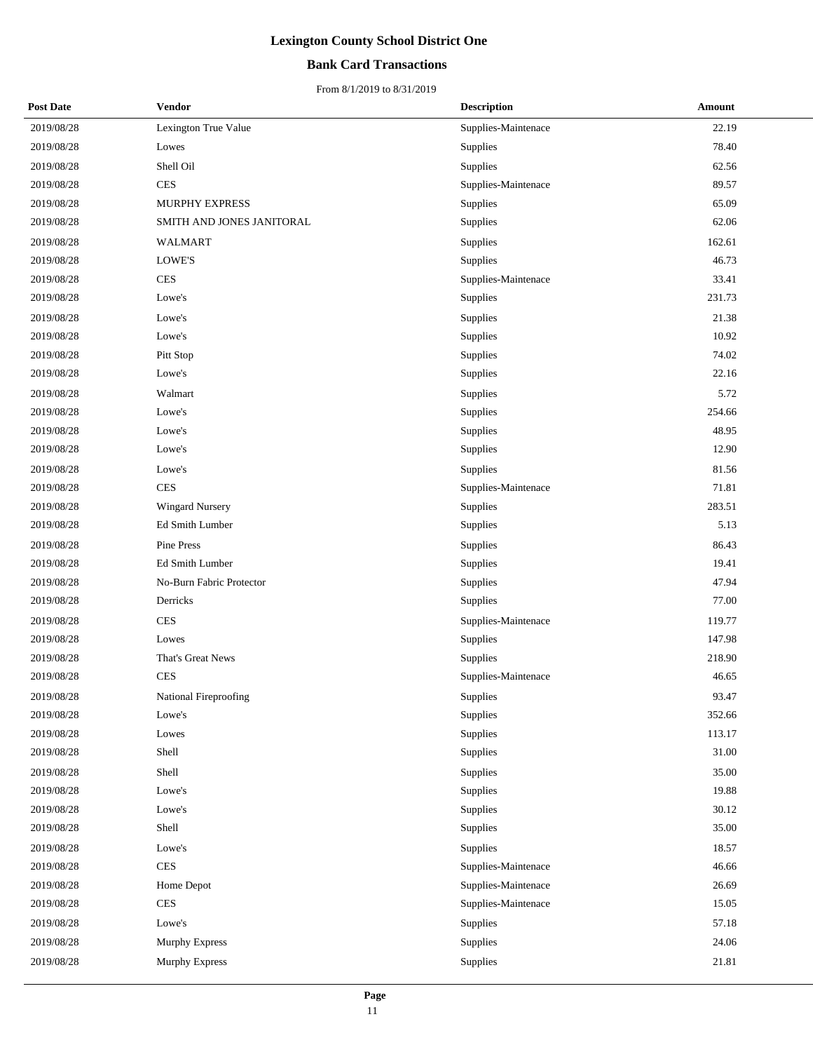### **Bank Card Transactions**

| <b>Post Date</b> | Vendor                    | <b>Description</b>  | Amount    |
|------------------|---------------------------|---------------------|-----------|
| 2019/08/28       | Lexington True Value      | Supplies-Maintenace | 22.19     |
| 2019/08/28       | Lowes                     | Supplies            | 78.40     |
| 2019/08/28       | Shell Oil                 | Supplies            | 62.56     |
| 2019/08/28       | <b>CES</b>                | Supplies-Maintenace | 89.57     |
| 2019/08/28       | MURPHY EXPRESS            | Supplies            | 65.09     |
| 2019/08/28       | SMITH AND JONES JANITORAL | Supplies            | 62.06     |
| 2019/08/28       | WALMART                   | Supplies            | 162.61    |
| 2019/08/28       | LOWE'S                    | Supplies            | 46.73     |
| 2019/08/28       | <b>CES</b>                | Supplies-Maintenace | 33.41     |
| 2019/08/28       | Lowe's                    | Supplies            | 231.73    |
| 2019/08/28       | Lowe's                    | Supplies            | 21.38     |
| 2019/08/28       | Lowe's                    | Supplies            | 10.92     |
| 2019/08/28       | Pitt Stop                 | Supplies            | 74.02     |
| 2019/08/28       | Lowe's                    | Supplies            | 22.16     |
| 2019/08/28       | Walmart                   | Supplies            | 5.72      |
| 2019/08/28       | Lowe's                    | Supplies            | 254.66    |
| 2019/08/28       | Lowe's                    | Supplies            | 48.95     |
| 2019/08/28       | Lowe's                    | Supplies            | 12.90     |
| 2019/08/28       | Lowe's                    | Supplies            | 81.56     |
| 2019/08/28       | <b>CES</b>                | Supplies-Maintenace | 71.81     |
| 2019/08/28       | <b>Wingard Nursery</b>    | Supplies            | 283.51    |
| 2019/08/28       | Ed Smith Lumber           | Supplies            | 5.13      |
| 2019/08/28       | Pine Press                | Supplies            | 86.43     |
| 2019/08/28       | Ed Smith Lumber           | Supplies            | 19.41     |
| 2019/08/28       | No-Burn Fabric Protector  | Supplies            | 47.94     |
| 2019/08/28       | Derricks                  | Supplies            | 77.00     |
| 2019/08/28       | <b>CES</b>                | Supplies-Maintenace | 119.77    |
| 2019/08/28       | Lowes                     | Supplies            | 147.98    |
| 2019/08/28       | That's Great News         | Supplies            | 218.90    |
| 2019/08/28       | <b>CES</b>                | Supplies-Maintenace | 46.65     |
| 2019/08/28       | National Fireproofing     | Supplies            | 93.47     |
| 2019/08/28       | Lowe's                    | Supplies            | 352.66    |
| 2019/08/28       | Lowes                     | Supplies            | 113.17    |
| 2019/08/28       | Shell                     | Supplies            | $31.00\,$ |
| 2019/08/28       | Shell                     | Supplies            | 35.00     |
| 2019/08/28       | Lowe's                    | Supplies            | 19.88     |
| 2019/08/28       | Lowe's                    | Supplies            | 30.12     |
| 2019/08/28       | Shell                     | Supplies            | 35.00     |
| 2019/08/28       | Lowe's                    | Supplies            | 18.57     |
| 2019/08/28       | <b>CES</b>                | Supplies-Maintenace | 46.66     |
| 2019/08/28       | Home Depot                | Supplies-Maintenace | 26.69     |
| 2019/08/28       | $\mbox{CES}$              | Supplies-Maintenace | 15.05     |
| 2019/08/28       | Lowe's                    | Supplies            | 57.18     |
| 2019/08/28       | Murphy Express            | Supplies            | 24.06     |
| 2019/08/28       | Murphy Express            | Supplies            | 21.81     |
|                  |                           |                     |           |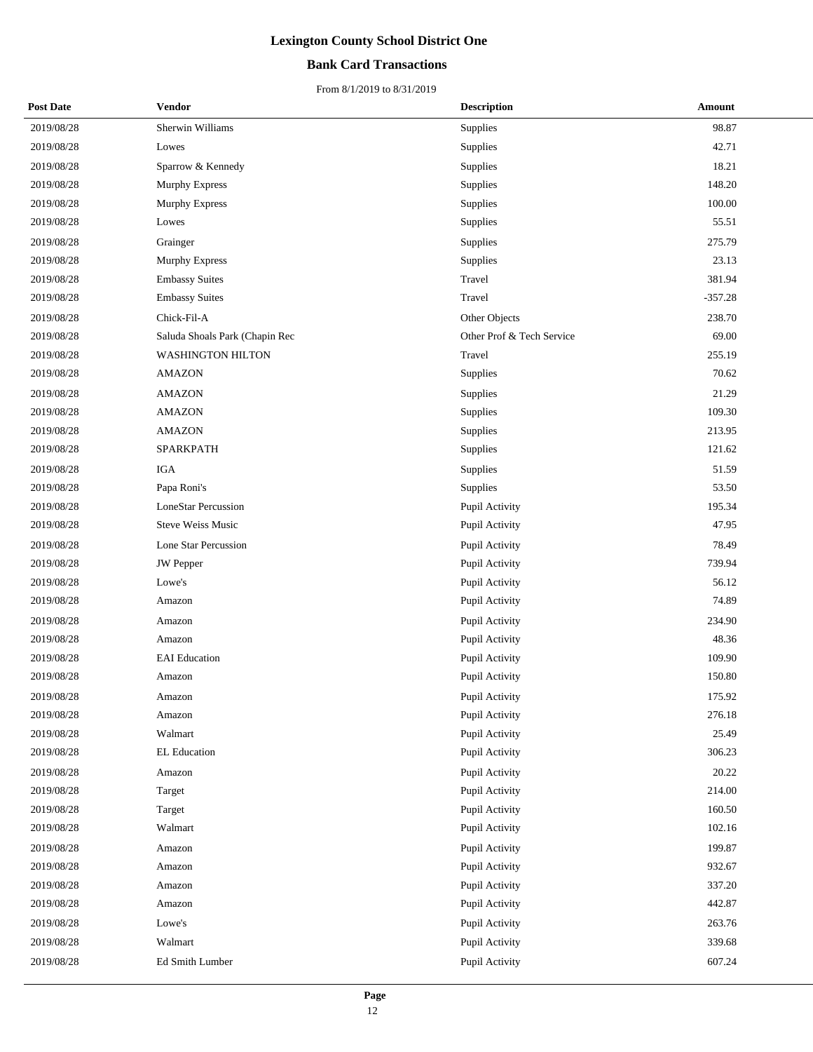### **Bank Card Transactions**

| <b>Post Date</b> | Vendor                         | <b>Description</b>        | Amount    |
|------------------|--------------------------------|---------------------------|-----------|
| 2019/08/28       | Sherwin Williams               | Supplies                  | 98.87     |
| 2019/08/28       | Lowes                          | Supplies                  | 42.71     |
| 2019/08/28       | Sparrow & Kennedy              | Supplies                  | 18.21     |
| 2019/08/28       | Murphy Express                 | Supplies                  | 148.20    |
| 2019/08/28       | <b>Murphy Express</b>          | Supplies                  | 100.00    |
| 2019/08/28       | Lowes                          | Supplies                  | 55.51     |
| 2019/08/28       | Grainger                       | Supplies                  | 275.79    |
| 2019/08/28       | <b>Murphy Express</b>          | Supplies                  | 23.13     |
| 2019/08/28       | <b>Embassy Suites</b>          | Travel                    | 381.94    |
| 2019/08/28       | <b>Embassy Suites</b>          | Travel                    | $-357.28$ |
| 2019/08/28       | Chick-Fil-A                    | Other Objects             | 238.70    |
| 2019/08/28       | Saluda Shoals Park (Chapin Rec | Other Prof & Tech Service | 69.00     |
| 2019/08/28       | WASHINGTON HILTON              | Travel                    | 255.19    |
| 2019/08/28       | <b>AMAZON</b>                  | Supplies                  | 70.62     |
| 2019/08/28       | <b>AMAZON</b>                  | Supplies                  | 21.29     |
| 2019/08/28       | <b>AMAZON</b>                  | Supplies                  | 109.30    |
| 2019/08/28       | <b>AMAZON</b>                  | Supplies                  | 213.95    |
| 2019/08/28       | SPARKPATH                      | Supplies                  | 121.62    |
| 2019/08/28       | <b>IGA</b>                     | Supplies                  | 51.59     |
| 2019/08/28       | Papa Roni's                    | Supplies                  | 53.50     |
| 2019/08/28       | <b>LoneStar Percussion</b>     | Pupil Activity            | 195.34    |
| 2019/08/28       | <b>Steve Weiss Music</b>       | Pupil Activity            | 47.95     |
| 2019/08/28       | Lone Star Percussion           | Pupil Activity            | 78.49     |
| 2019/08/28       | <b>JW</b> Pepper               | Pupil Activity            | 739.94    |
| 2019/08/28       | Lowe's                         | Pupil Activity            | 56.12     |
| 2019/08/28       | Amazon                         | Pupil Activity            | 74.89     |
| 2019/08/28       | Amazon                         | Pupil Activity            | 234.90    |
| 2019/08/28       | Amazon                         | Pupil Activity            | 48.36     |
| 2019/08/28       | <b>EAI</b> Education           | Pupil Activity            | 109.90    |
| 2019/08/28       | Amazon                         | Pupil Activity            | 150.80    |
| 2019/08/28       | Amazon                         | Pupil Activity            | 175.92    |
| 2019/08/28       | Amazon                         | Pupil Activity            | 276.18    |
| 2019/08/28       | Walmart                        | Pupil Activity            | 25.49     |
| 2019/08/28       | EL Education                   | Pupil Activity            | 306.23    |
| 2019/08/28       | Amazon                         | Pupil Activity            | 20.22     |
| 2019/08/28       | Target                         | Pupil Activity            | 214.00    |
| 2019/08/28       | Target                         | Pupil Activity            | 160.50    |
| 2019/08/28       | Walmart                        | Pupil Activity            | 102.16    |
| 2019/08/28       | Amazon                         | Pupil Activity            | 199.87    |
| 2019/08/28       | Amazon                         | Pupil Activity            | 932.67    |
| 2019/08/28       | Amazon                         | Pupil Activity            | 337.20    |
| 2019/08/28       | Amazon                         | Pupil Activity            | 442.87    |
| 2019/08/28       | Lowe's                         | Pupil Activity            | 263.76    |
| 2019/08/28       | Walmart                        | Pupil Activity            | 339.68    |
| 2019/08/28       | Ed Smith Lumber                | Pupil Activity            | 607.24    |
|                  |                                |                           |           |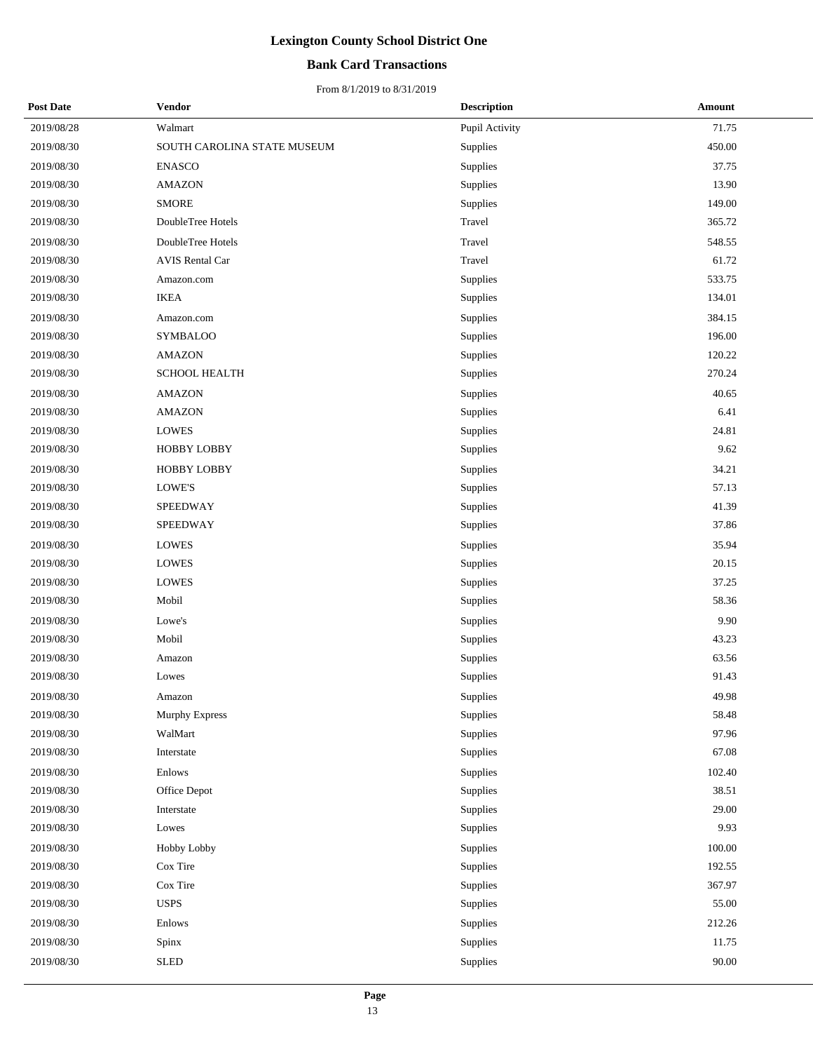### **Bank Card Transactions**

| <b>Post Date</b> | Vendor                      | <b>Description</b> | <b>Amount</b> |
|------------------|-----------------------------|--------------------|---------------|
| 2019/08/28       | Walmart                     | Pupil Activity     | 71.75         |
| 2019/08/30       | SOUTH CAROLINA STATE MUSEUM | Supplies           | 450.00        |
| 2019/08/30       | <b>ENASCO</b>               | Supplies           | 37.75         |
| 2019/08/30       | <b>AMAZON</b>               | Supplies           | 13.90         |
| 2019/08/30       | <b>SMORE</b>                | Supplies           | 149.00        |
| 2019/08/30       | DoubleTree Hotels           | Travel             | 365.72        |
| 2019/08/30       | DoubleTree Hotels           | Travel             | 548.55        |
| 2019/08/30       | <b>AVIS Rental Car</b>      | Travel             | 61.72         |
| 2019/08/30       | Amazon.com                  | Supplies           | 533.75        |
| 2019/08/30       | <b>IKEA</b>                 | Supplies           | 134.01        |
| 2019/08/30       | Amazon.com                  | Supplies           | 384.15        |
| 2019/08/30       | <b>SYMBALOO</b>             | Supplies           | 196.00        |
| 2019/08/30       | <b>AMAZON</b>               | Supplies           | 120.22        |
| 2019/08/30       | <b>SCHOOL HEALTH</b>        | Supplies           | 270.24        |
| 2019/08/30       | <b>AMAZON</b>               | Supplies           | 40.65         |
| 2019/08/30       | <b>AMAZON</b>               | Supplies           | 6.41          |
| 2019/08/30       | <b>LOWES</b>                | Supplies           | 24.81         |
| 2019/08/30       | HOBBY LOBBY                 | Supplies           | 9.62          |
| 2019/08/30       | <b>HOBBY LOBBY</b>          | Supplies           | 34.21         |
| 2019/08/30       | LOWE'S                      | Supplies           | 57.13         |
| 2019/08/30       | SPEEDWAY                    | Supplies           | 41.39         |
| 2019/08/30       | <b>SPEEDWAY</b>             | Supplies           | 37.86         |
| 2019/08/30       | <b>LOWES</b>                | Supplies           | 35.94         |
| 2019/08/30       | <b>LOWES</b>                | Supplies           | 20.15         |
| 2019/08/30       | <b>LOWES</b>                | Supplies           | 37.25         |
| 2019/08/30       | Mobil                       | Supplies           | 58.36         |
| 2019/08/30       | Lowe's                      | Supplies           | 9.90          |
| 2019/08/30       | Mobil                       | Supplies           | 43.23         |
| 2019/08/30       | Amazon                      | Supplies           | 63.56         |
| 2019/08/30       | Lowes                       | Supplies           | 91.43         |
| 2019/08/30       | Amazon                      | Supplies           | 49.98         |
| 2019/08/30       | Murphy Express              | Supplies           | 58.48         |
| 2019/08/30       | WalMart                     | Supplies           | 97.96         |
| 2019/08/30       | Interstate                  | Supplies           | 67.08         |
| 2019/08/30       | Enlows                      | Supplies           | 102.40        |
| 2019/08/30       | Office Depot                | Supplies           | 38.51         |
| 2019/08/30       | Interstate                  | Supplies           | 29.00         |
| 2019/08/30       | Lowes                       | Supplies           | 9.93          |
| 2019/08/30       | Hobby Lobby                 | Supplies           | $100.00\,$    |
| 2019/08/30       | Cox Tire                    | Supplies           | 192.55        |
| 2019/08/30       | Cox Tire                    | Supplies           | 367.97        |
| 2019/08/30       | <b>USPS</b>                 | Supplies           | 55.00         |
| 2019/08/30       | Enlows                      | Supplies           | 212.26        |
| 2019/08/30       | Spinx                       | Supplies           | 11.75         |
| 2019/08/30       | <b>SLED</b>                 | Supplies           | $90.00\,$     |
|                  |                             |                    |               |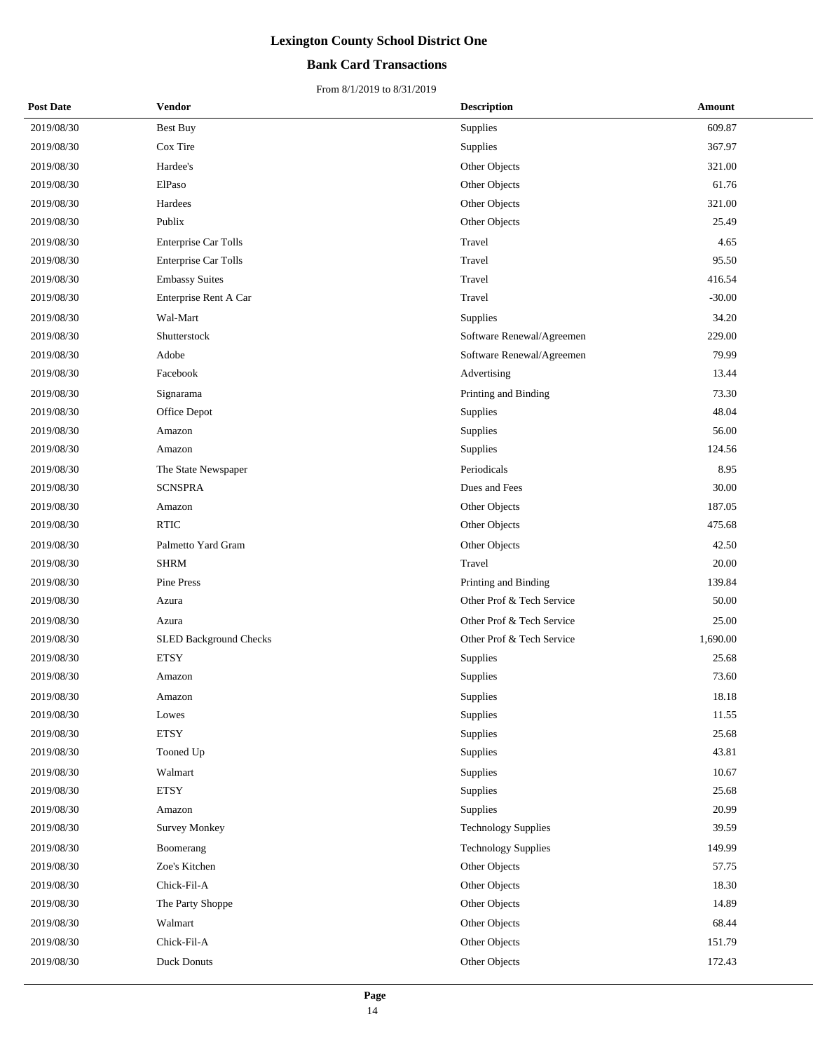### **Bank Card Transactions**

| <b>Post Date</b> | <b>Vendor</b>                 |          | <b>Description</b>         | Amount   |  |
|------------------|-------------------------------|----------|----------------------------|----------|--|
| 2019/08/30       | <b>Best Buy</b>               | Supplies |                            | 609.87   |  |
| 2019/08/30       | Cox Tire                      | Supplies |                            | 367.97   |  |
| 2019/08/30       | Hardee's                      |          | Other Objects              | 321.00   |  |
| 2019/08/30       | ElPaso                        |          | Other Objects              | 61.76    |  |
| 2019/08/30       | Hardees                       |          | Other Objects              | 321.00   |  |
| 2019/08/30       | Publix                        |          | Other Objects              | 25.49    |  |
| 2019/08/30       | Enterprise Car Tolls          | Travel   |                            | 4.65     |  |
| 2019/08/30       | Enterprise Car Tolls          | Travel   |                            | 95.50    |  |
| 2019/08/30       | <b>Embassy Suites</b>         | Travel   |                            | 416.54   |  |
| 2019/08/30       | Enterprise Rent A Car         | Travel   |                            | $-30.00$ |  |
| 2019/08/30       | Wal-Mart                      | Supplies |                            | 34.20    |  |
| 2019/08/30       | Shutterstock                  |          | Software Renewal/Agreemen  | 229.00   |  |
| 2019/08/30       | Adobe                         |          | Software Renewal/Agreemen  | 79.99    |  |
| 2019/08/30       | Facebook                      |          | Advertising                | 13.44    |  |
| 2019/08/30       | Signarama                     |          | Printing and Binding       | 73.30    |  |
| 2019/08/30       | Office Depot                  | Supplies |                            | 48.04    |  |
| 2019/08/30       | Amazon                        | Supplies |                            | 56.00    |  |
| 2019/08/30       | Amazon                        | Supplies |                            | 124.56   |  |
| 2019/08/30       | The State Newspaper           |          | Periodicals                | 8.95     |  |
| 2019/08/30       | <b>SCNSPRA</b>                |          | Dues and Fees              | 30.00    |  |
| 2019/08/30       | Amazon                        |          | Other Objects              | 187.05   |  |
| 2019/08/30       | <b>RTIC</b>                   |          | Other Objects              | 475.68   |  |
| 2019/08/30       | Palmetto Yard Gram            |          | Other Objects              | 42.50    |  |
| 2019/08/30       | <b>SHRM</b>                   | Travel   |                            | 20.00    |  |
| 2019/08/30       | Pine Press                    |          | Printing and Binding       | 139.84   |  |
| 2019/08/30       | Azura                         |          | Other Prof & Tech Service  | 50.00    |  |
| 2019/08/30       | Azura                         |          | Other Prof & Tech Service  | 25.00    |  |
| 2019/08/30       | <b>SLED Background Checks</b> |          | Other Prof & Tech Service  | 1,690.00 |  |
| 2019/08/30       | <b>ETSY</b>                   | Supplies |                            | 25.68    |  |
| 2019/08/30       | Amazon                        | Supplies |                            | 73.60    |  |
| 2019/08/30       | Amazon                        | Supplies |                            | 18.18    |  |
| 2019/08/30       | Lowes                         | Supplies |                            | 11.55    |  |
| 2019/08/30       | <b>ETSY</b>                   | Supplies |                            | 25.68    |  |
| 2019/08/30       | Tooned Up                     | Supplies |                            | 43.81    |  |
| 2019/08/30       | Walmart                       | Supplies |                            | 10.67    |  |
| 2019/08/30       | <b>ETSY</b>                   | Supplies |                            | 25.68    |  |
| 2019/08/30       | Amazon                        | Supplies |                            | 20.99    |  |
| 2019/08/30       | Survey Monkey                 |          | <b>Technology Supplies</b> | 39.59    |  |
| 2019/08/30       | Boomerang                     |          | <b>Technology Supplies</b> | 149.99   |  |
| 2019/08/30       | Zoe's Kitchen                 |          | Other Objects              | 57.75    |  |
| 2019/08/30       | Chick-Fil-A                   |          | Other Objects              | 18.30    |  |
| 2019/08/30       | The Party Shoppe              |          | Other Objects              | 14.89    |  |
| 2019/08/30       | Walmart                       |          | Other Objects              | 68.44    |  |
| 2019/08/30       | Chick-Fil-A                   |          | Other Objects              | 151.79   |  |
| 2019/08/30       | <b>Duck Donuts</b>            |          | Other Objects              | 172.43   |  |
|                  |                               |          |                            |          |  |